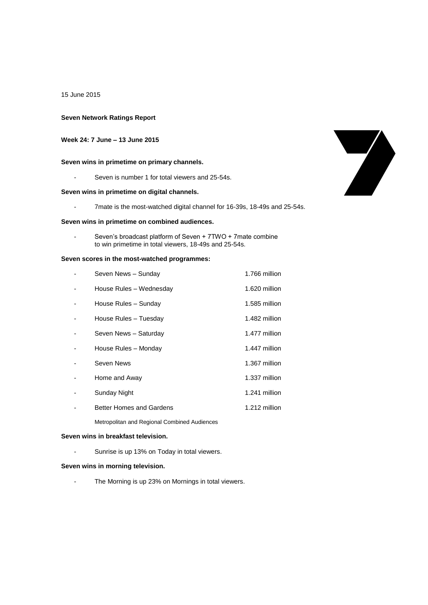15 June 2015

## **Seven Network Ratings Report**

# **Week 24: 7 June – 13 June 2015**

## **Seven wins in primetime on primary channels.**

- Seven is number 1 for total viewers and 25-54s.

## **Seven wins in primetime on digital channels.**

- 7mate is the most-watched digital channel for 16-39s, 18-49s and 25-54s.

### **Seven wins in primetime on combined audiences.**

Seven's broadcast platform of Seven + 7TWO + 7mate combine to win primetime in total viewers, 18-49s and 25-54s.

### **Seven scores in the most-watched programmes:**

| Seven News - Sunday                          | 1.766 million |
|----------------------------------------------|---------------|
| House Rules - Wednesday                      | 1.620 million |
| House Rules - Sunday                         | 1.585 million |
| House Rules - Tuesday                        | 1.482 million |
| Seven News - Saturday                        | 1.477 million |
| House Rules - Monday                         | 1.447 million |
| Seven News                                   | 1.367 million |
| Home and Away                                | 1.337 million |
| Sunday Night                                 | 1.241 million |
| <b>Better Homes and Gardens</b>              | 1.212 million |
| Metropolitan and Regional Combined Audiences |               |

#### **Seven wins in breakfast television.**

- Sunrise is up 13% on Today in total viewers.

## **Seven wins in morning television.**

- The Morning is up 23% on Mornings in total viewers.

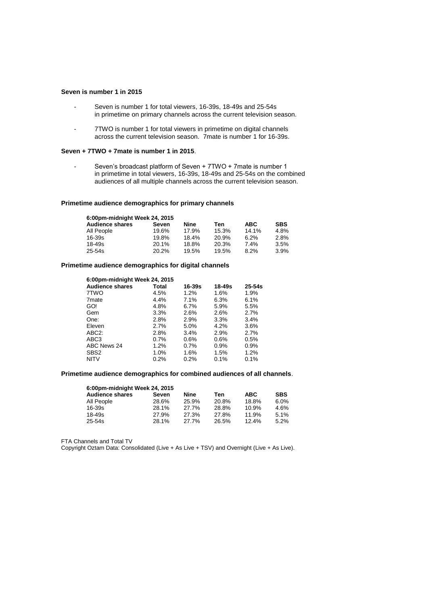## **Seven is number 1 in 2015**

- Seven is number 1 for total viewers, 16-39s, 18-49s and 25-54s in primetime on primary channels across the current television season.
- 7TWO is number 1 for total viewers in primetime on digital channels across the current television season. 7mate is number 1 for 16-39s.

### **Seven + 7TWO + 7mate is number 1 in 2015**.

- Seven's broadcast platform of Seven + 7TWO + 7mate is number 1 in primetime in total viewers, 16-39s, 18-49s and 25-54s on the combined audiences of all multiple channels across the current television season.

### **Primetime audience demographics for primary channels**

| 6.00pm-midnight Week 24, 2015 |       |       |       |            |            |  |
|-------------------------------|-------|-------|-------|------------|------------|--|
| <b>Audience shares</b>        | Seven | Nine  | Ten   | <b>ABC</b> | <b>SBS</b> |  |
| All People                    | 19.6% | 17.9% | 15.3% | 14.1%      | 4.8%       |  |
| 16-39s                        | 19.8% | 18.4% | 20.9% | 6.2%       | 2.8%       |  |
| 18-49s                        | 20.1% | 18.8% | 20.3% | 7.4%       | 3.5%       |  |
| $25 - 54s$                    | 20.2% | 19.5% | 19.5% | 8.2%       | 3.9%       |  |

### **Primetime audience demographics for digital channels**

| 6:00pm-midnight Week 24, 2015 |       |            |        |            |
|-------------------------------|-------|------------|--------|------------|
| <b>Audience shares</b>        | Total | $16 - 39s$ | 18-49s | $25 - 54s$ |
| 7TWO                          | 4.5%  | 1.2%       | 1.6%   | 1.9%       |
| 7 <sub>mate</sub>             | 4.4%  | 7.1%       | 6.3%   | 6.1%       |
| GO!                           | 4.8%  | 6.7%       | 5.9%   | 5.5%       |
| Gem                           | 3.3%  | 2.6%       | 2.6%   | 2.7%       |
| One:                          | 2.8%  | 2.9%       | 3.3%   | 3.4%       |
| Eleven                        | 2.7%  | 5.0%       | 4.2%   | 3.6%       |
| ABC <sub>2</sub> :            | 2.8%  | 3.4%       | 2.9%   | 2.7%       |
| ABC3                          | 0.7%  | 0.6%       | 0.6%   | 0.5%       |
| ABC News 24                   | 1.2%  | 0.7%       | 0.9%   | 0.9%       |
| SBS <sub>2</sub>              | 1.0%  | 1.6%       | 1.5%   | 1.2%       |
| <b>NITV</b>                   | 0.2%  | 0.2%       | 0.1%   | 0.1%       |

# **Primetime audience demographics for combined audiences of all channels**.

| 6:00pm-midnight Week 24, 2015 |       |       |            |            |  |  |
|-------------------------------|-------|-------|------------|------------|--|--|
| Seven                         | Nine  | Ten   | <b>ABC</b> | <b>SBS</b> |  |  |
| 28.6%                         | 25.9% | 20.8% | 18.8%      | 6.0%       |  |  |
| 28.1%                         | 27.7% | 28.8% | 10.9%      | 4.6%       |  |  |
| 27.9%                         | 27.3% | 27.8% | 11.9%      | 5.1%       |  |  |
| 28.1%                         | 27.7% | 26.5% | 12.4%      | 5.2%       |  |  |
|                               |       |       |            |            |  |  |

FTA Channels and Total TV

Copyright Oztam Data: Consolidated (Live + As Live + TSV) and Overnight (Live + As Live).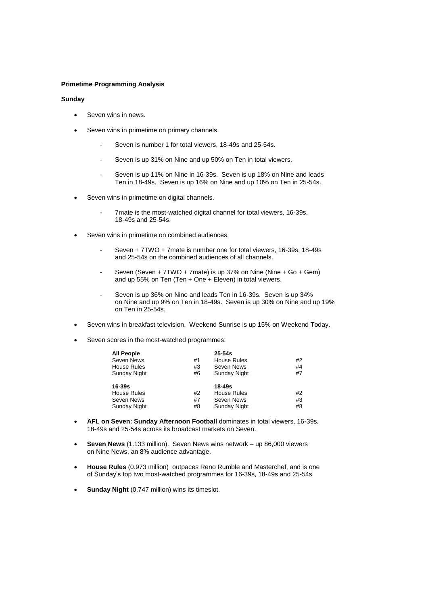### **Primetime Programming Analysis**

#### **Sunday**

- Seven wins in news.
- Seven wins in primetime on primary channels.
	- Seven is number 1 for total viewers, 18-49s and 25-54s.
	- Seven is up 31% on Nine and up 50% on Ten in total viewers.
	- Seven is up 11% on Nine in 16-39s. Seven is up 18% on Nine and leads Ten in 18-49s. Seven is up 16% on Nine and up 10% on Ten in 25-54s.
- Seven wins in primetime on digital channels.
	- 7mate is the most-watched digital channel for total viewers, 16-39s, 18-49s and 25-54s.
- Seven wins in primetime on combined audiences.
	- Seven + 7TWO + 7mate is number one for total viewers, 16-39s, 18-49s and 25-54s on the combined audiences of all channels.
	- Seven (Seven + 7TWO + 7mate) is up 37% on Nine (Nine + Go + Gem) and up 55% on Ten (Ten + One + Eleven) in total viewers.
	- Seven is up 36% on Nine and leads Ten in 16-39s. Seven is up 34% on Nine and up 9% on Ten in 18-49s. Seven is up 30% on Nine and up 19% on Ten in 25-54s.
- Seven wins in breakfast television. Weekend Sunrise is up 15% on Weekend Today.
- Seven scores in the most-watched programmes:

| <b>All People</b>  |    | $25 - 54s$         |    |
|--------------------|----|--------------------|----|
| Seven News         | #1 | <b>House Rules</b> | #2 |
| <b>House Rules</b> | #3 | Seven News         | #4 |
| Sunday Night       | #6 | Sunday Night       | #7 |
| 16-39s             |    | 18-49s             |    |
| House Rules        | #2 | <b>House Rules</b> | #2 |
| Seven News         | #7 | Seven News         | #3 |
| Sunday Night       | #8 | Sunday Night       | #8 |

- **AFL on Seven: Sunday Afternoon Football** dominates in total viewers, 16-39s, 18-49s and 25-54s across its broadcast markets on Seven.
- **Seven News** (1.133 million). Seven News wins network up 86,000 viewers on Nine News, an 8% audience advantage.
- **House Rules** (0.973 million) outpaces Reno Rumble and Masterchef, and is one of Sunday's top two most-watched programmes for 16-39s, 18-49s and 25-54s
- **Sunday Night** (0.747 million) wins its timeslot.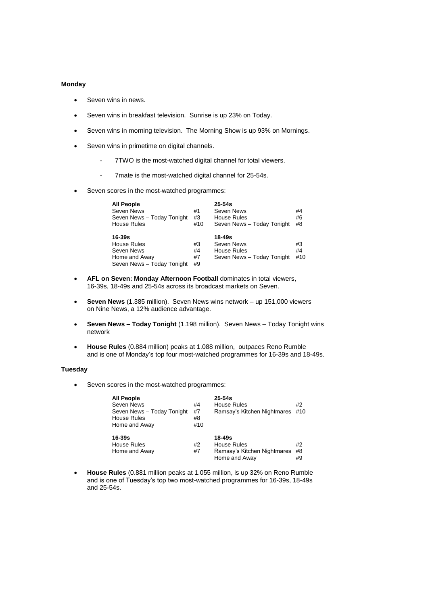### **Monday**

- Seven wins in news.
- Seven wins in breakfast television. Sunrise is up 23% on Today.
- Seven wins in morning television. The Morning Show is up 93% on Mornings.
- Seven wins in primetime on digital channels.
	- 7TWO is the most-watched digital channel for total viewers.
	- 7mate is the most-watched digital channel for 25-54s.
- Seven scores in the most-watched programmes:

| <b>All People</b>          |     | $25 - 54s$                 |     |
|----------------------------|-----|----------------------------|-----|
| Seven News                 | #1  | Seven News                 | #4  |
| Seven News - Today Tonight | #3  | <b>House Rules</b>         | #6  |
| <b>House Rules</b>         | #10 | Seven News - Today Tonight | #8  |
| $16-39s$                   |     | 18-49s                     |     |
| House Rules                | #3  | Seven News                 | #3  |
| Seven News                 | #4  | <b>House Rules</b>         | #4  |
| Home and Away              | #7  | Seven News - Today Tonight | #10 |
| Seven News - Today Tonight |     |                            |     |

- **AFL on Seven: Monday Afternoon Football** dominates in total viewers, 16-39s, 18-49s and 25-54s across its broadcast markets on Seven.
- **Seven News** (1.385 million). Seven News wins network up 151,000 viewers on Nine News, a 12% audience advantage.
- **Seven News – Today Tonight** (1.198 million). Seven News Today Tonight wins network
- **House Rules** (0.884 million) peaks at 1.088 million, outpaces Reno Rumble and is one of Monday's top four most-watched programmes for 16-39s and 18-49s.

### **Tuesday**

Seven scores in the most-watched programmes:

| <b>All People</b><br>Seven News<br>Seven News - Today Tonight<br><b>House Rules</b><br>Home and Away | #4<br>#7<br>#8<br>#10 | $25-54s$<br>House Rules<br>Ramsay's Kitchen Nightmares                | #2<br>#10      |
|------------------------------------------------------------------------------------------------------|-----------------------|-----------------------------------------------------------------------|----------------|
| 16-39s<br>House Rules<br>Home and Away                                                               | #2<br>#7              | 18-49s<br>House Rules<br>Ramsay's Kitchen Nightmares<br>Home and Away | #2<br>#8<br>#9 |

 **House Rules** (0.881 million peaks at 1.055 million, is up 32% on Reno Rumble and is one of Tuesday's top two most-watched programmes for 16-39s, 18-49s and 25-54s.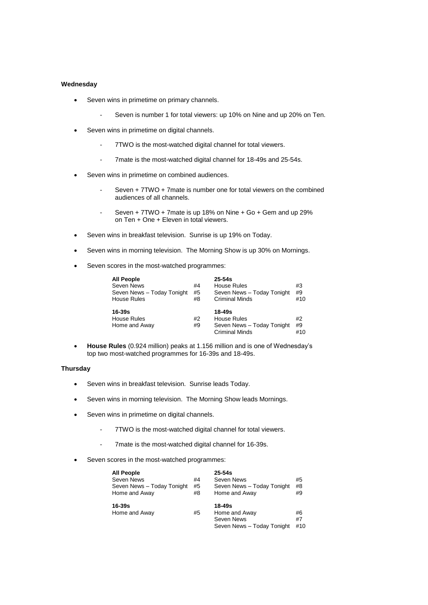### **Wednesday**

- Seven wins in primetime on primary channels.
	- Seven is number 1 for total viewers: up 10% on Nine and up 20% on Ten.
- Seven wins in primetime on digital channels.
	- 7TWO is the most-watched digital channel for total viewers.
	- 7mate is the most-watched digital channel for 18-49s and 25-54s.
- Seven wins in primetime on combined audiences.
	- Seven + 7TWO + 7mate is number one for total viewers on the combined audiences of all channels.
	- Seven + 7TWO + 7mate is up 18% on Nine + Go + Gem and up 29% on Ten + One + Eleven in total viewers.
- Seven wins in breakfast television. Sunrise is up 19% on Today.
- Seven wins in morning television. The Morning Show is up 30% on Mornings.
- Seven scores in the most-watched programmes:

| <b>All People</b>          |    | $25 - 54s$                 |     |
|----------------------------|----|----------------------------|-----|
| Seven News                 | #4 | <b>House Rules</b>         | #3  |
| Seven News - Today Tonight | #5 | Seven News - Today Tonight | #9  |
| <b>House Rules</b>         | #8 | <b>Criminal Minds</b>      | #10 |
|                            |    |                            |     |
| $16 - 39s$                 |    | $18 - 49s$                 |     |
|                            |    |                            |     |
| <b>House Rules</b>         | #2 | House Rules                | #2  |
| Home and Away              | #9 | Seven News - Today Tonight | #9  |

 **House Rules** (0.924 million) peaks at 1.156 million and is one of Wednesday's top two most-watched programmes for 16-39s and 18-49s.

### **Thursday**

- Seven wins in breakfast television. Sunrise leads Today.
- Seven wins in morning television. The Morning Show leads Mornings.
- Seven wins in primetime on digital channels.
	- 7TWO is the most-watched digital channel for total viewers.
	- 7mate is the most-watched digital channel for 16-39s.
- Seven scores in the most-watched programmes:

| <b>All People</b><br>Seven News<br>Seven News - Today Tonight<br>Home and Away | #4<br>#5<br>#8 | $25 - 54s$<br>Seven News<br>Seven News - Today Tonight<br>Home and Away | #5<br>#8<br>#9  |
|--------------------------------------------------------------------------------|----------------|-------------------------------------------------------------------------|-----------------|
| 16-39s<br>Home and Away                                                        | #5             | $18 - 49s$<br>Home and Away<br>Seven News<br>Seven News - Today Tonight | #6<br>#7<br>#10 |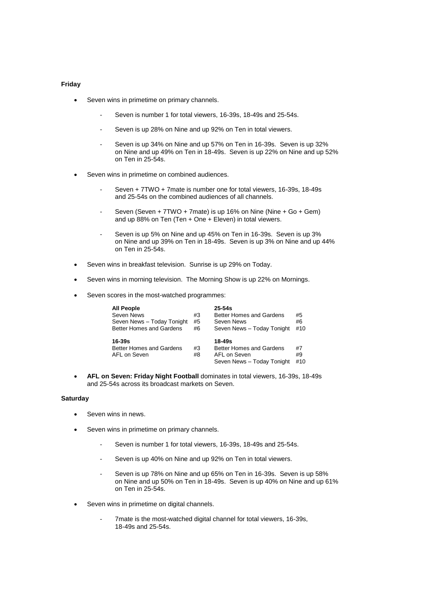#### **Friday**

- Seven wins in primetime on primary channels.
	- Seven is number 1 for total viewers, 16-39s, 18-49s and 25-54s.
	- Seven is up 28% on Nine and up 92% on Ten in total viewers.
	- Seven is up 34% on Nine and up 57% on Ten in 16-39s. Seven is up 32% on Nine and up 49% on Ten in 18-49s. Seven is up 22% on Nine and up 52% on Ten in 25-54s.
- Seven wins in primetime on combined audiences.
	- Seven + 7TWO + 7mate is number one for total viewers, 16-39s, 18-49s and 25-54s on the combined audiences of all channels.
	- Seven (Seven + 7TWO + 7mate) is up 16% on Nine (Nine + Go + Gem) and up 88% on Ten (Ten + One + Eleven) in total viewers.
	- Seven is up 5% on Nine and up 45% on Ten in 16-39s. Seven is up 3% on Nine and up 39% on Ten in 18-49s. Seven is up 3% on Nine and up 44% on Ten in 25-54s.
- Seven wins in breakfast television. Sunrise is up 29% on Today.
- Seven wins in morning television. The Morning Show is up 22% on Mornings.
- Seven scores in the most-watched programmes:

| <b>All People</b><br>Seven News<br>Seven News - Today Tonight<br>Better Homes and Gardens | #3<br>#5<br>#6 | $25 - 54s$<br>Better Homes and Gardens<br>Seven News<br>Seven News - Today Tonight   | #5<br>#6<br>#10 |
|-------------------------------------------------------------------------------------------|----------------|--------------------------------------------------------------------------------------|-----------------|
| $16 - 39s$<br>Better Homes and Gardens<br>AFL on Seven                                    | #3<br>#8       | $18 - 49s$<br>Better Homes and Gardens<br>AFL on Seven<br>Seven News - Today Tonight | #7<br>#9<br>#10 |

 **AFL on Seven: Friday Night Football** dominates in total viewers, 16-39s, 18-49s and 25-54s across its broadcast markets on Seven.

#### **Saturday**

- Seven wins in news.
- Seven wins in primetime on primary channels.
	- Seven is number 1 for total viewers, 16-39s, 18-49s and 25-54s.
	- Seven is up 40% on Nine and up 92% on Ten in total viewers.
	- Seven is up 78% on Nine and up 65% on Ten in 16-39s. Seven is up 58% on Nine and up 50% on Ten in 18-49s. Seven is up 40% on Nine and up 61% on Ten in 25-54s.
- Seven wins in primetime on digital channels.
	- 7mate is the most-watched digital channel for total viewers, 16-39s, 18-49s and 25-54s.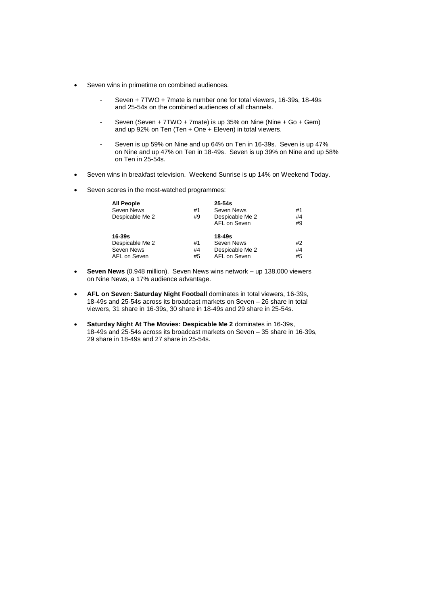- Seven wins in primetime on combined audiences.
	- Seven + 7TWO + 7mate is number one for total viewers, 16-39s, 18-49s and 25-54s on the combined audiences of all channels.
	- Seven (Seven + 7TWO + 7mate) is up 35% on Nine (Nine + Go + Gem) and up 92% on Ten (Ten + One + Eleven) in total viewers.
	- Seven is up 59% on Nine and up 64% on Ten in 16-39s. Seven is up 47% on Nine and up 47% on Ten in 18-49s. Seven is up 39% on Nine and up 58% on Ten in 25-54s.
- Seven wins in breakfast television. Weekend Sunrise is up 14% on Weekend Today.
- Seven scores in the most-watched programmes:

| <b>All People</b> |    | $25 - 54s$      |    |
|-------------------|----|-----------------|----|
| Seven News        | #1 | Seven News      | #1 |
| Despicable Me 2   | #9 | Despicable Me 2 | #4 |
|                   |    | AFL on Seven    | #9 |
| 16-39s            |    | 18-49s          |    |
| Despicable Me 2   | #1 | Seven News      | #2 |
| Seven News        | #4 | Despicable Me 2 | #4 |
| AFL on Seven      | #5 | AFL on Seven    | #5 |

- **Seven News** (0.948 million). Seven News wins network up 138,000 viewers on Nine News, a 17% audience advantage.
- **AFL on Seven: Saturday Night Football** dominates in total viewers, 16-39s, 18-49s and 25-54s across its broadcast markets on Seven – 26 share in total viewers, 31 share in 16-39s, 30 share in 18-49s and 29 share in 25-54s.
- **Saturday Night At The Movies: Despicable Me 2** dominates in 16-39s, 18-49s and 25-54s across its broadcast markets on Seven – 35 share in 16-39s, 29 share in 18-49s and 27 share in 25-54s.